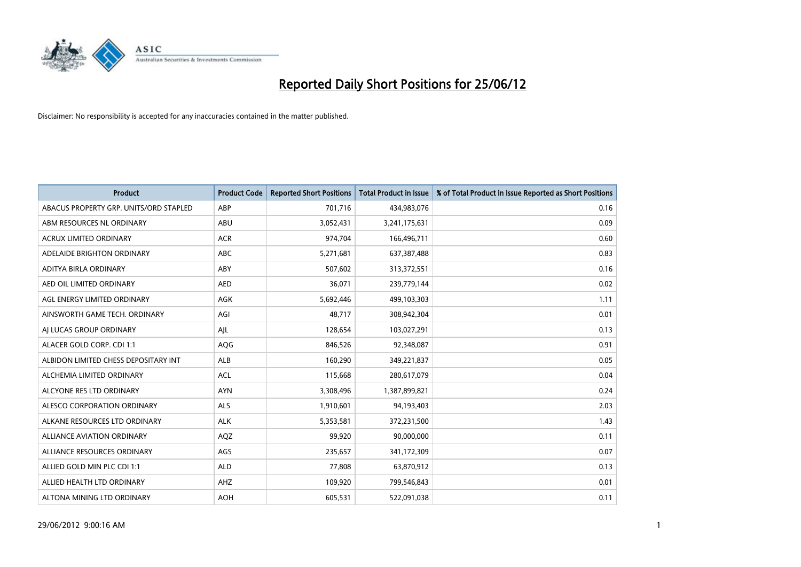

| <b>Product</b>                         | <b>Product Code</b> | <b>Reported Short Positions</b> | <b>Total Product in Issue</b> | % of Total Product in Issue Reported as Short Positions |
|----------------------------------------|---------------------|---------------------------------|-------------------------------|---------------------------------------------------------|
| ABACUS PROPERTY GRP. UNITS/ORD STAPLED | ABP                 | 701,716                         | 434,983,076                   | 0.16                                                    |
| ABM RESOURCES NL ORDINARY              | ABU                 | 3,052,431                       | 3,241,175,631                 | 0.09                                                    |
| <b>ACRUX LIMITED ORDINARY</b>          | <b>ACR</b>          | 974,704                         | 166,496,711                   | 0.60                                                    |
| ADELAIDE BRIGHTON ORDINARY             | <b>ABC</b>          | 5,271,681                       | 637,387,488                   | 0.83                                                    |
| ADITYA BIRLA ORDINARY                  | ABY                 | 507,602                         | 313,372,551                   | 0.16                                                    |
| AED OIL LIMITED ORDINARY               | <b>AED</b>          | 36,071                          | 239,779,144                   | 0.02                                                    |
| AGL ENERGY LIMITED ORDINARY            | AGK                 | 5,692,446                       | 499,103,303                   | 1.11                                                    |
| AINSWORTH GAME TECH. ORDINARY          | AGI                 | 48,717                          | 308,942,304                   | 0.01                                                    |
| AI LUCAS GROUP ORDINARY                | AJL                 | 128,654                         | 103,027,291                   | 0.13                                                    |
| ALACER GOLD CORP. CDI 1:1              | AQG                 | 846,526                         | 92,348,087                    | 0.91                                                    |
| ALBIDON LIMITED CHESS DEPOSITARY INT   | ALB                 | 160,290                         | 349,221,837                   | 0.05                                                    |
| ALCHEMIA LIMITED ORDINARY              | <b>ACL</b>          | 115,668                         | 280,617,079                   | 0.04                                                    |
| ALCYONE RES LTD ORDINARY               | <b>AYN</b>          | 3,308,496                       | 1,387,899,821                 | 0.24                                                    |
| ALESCO CORPORATION ORDINARY            | ALS                 | 1,910,601                       | 94,193,403                    | 2.03                                                    |
| ALKANE RESOURCES LTD ORDINARY          | <b>ALK</b>          | 5,353,581                       | 372,231,500                   | 1.43                                                    |
| ALLIANCE AVIATION ORDINARY             | AQZ                 | 99,920                          | 90,000,000                    | 0.11                                                    |
| ALLIANCE RESOURCES ORDINARY            | AGS                 | 235,657                         | 341,172,309                   | 0.07                                                    |
| ALLIED GOLD MIN PLC CDI 1:1            | <b>ALD</b>          | 77,808                          | 63,870,912                    | 0.13                                                    |
| ALLIED HEALTH LTD ORDINARY             | AHZ                 | 109,920                         | 799,546,843                   | 0.01                                                    |
| ALTONA MINING LTD ORDINARY             | <b>AOH</b>          | 605,531                         | 522,091,038                   | 0.11                                                    |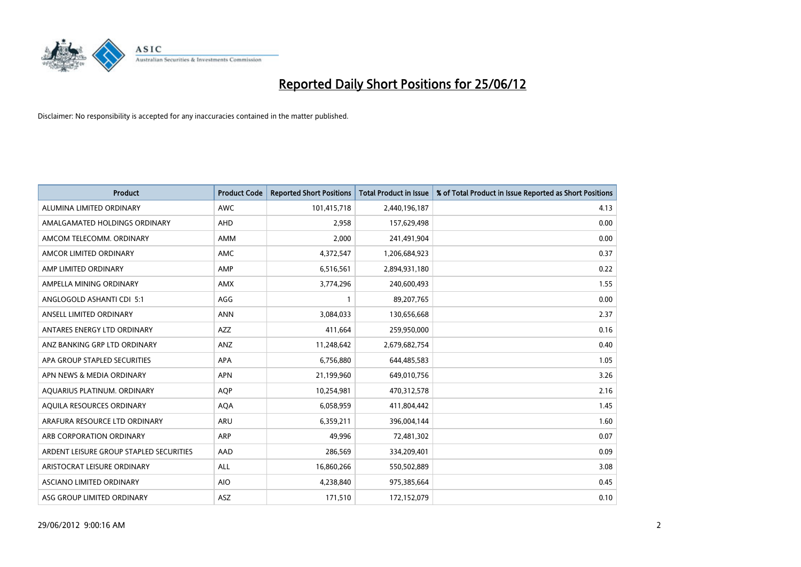

| <b>Product</b>                          | <b>Product Code</b> | <b>Reported Short Positions</b> | <b>Total Product in Issue</b> | % of Total Product in Issue Reported as Short Positions |
|-----------------------------------------|---------------------|---------------------------------|-------------------------------|---------------------------------------------------------|
| ALUMINA LIMITED ORDINARY                | <b>AWC</b>          | 101,415,718                     | 2,440,196,187                 | 4.13                                                    |
| AMALGAMATED HOLDINGS ORDINARY           | AHD                 | 2,958                           | 157,629,498                   | 0.00                                                    |
| AMCOM TELECOMM. ORDINARY                | AMM                 | 2,000                           | 241,491,904                   | 0.00                                                    |
| AMCOR LIMITED ORDINARY                  | AMC                 | 4,372,547                       | 1,206,684,923                 | 0.37                                                    |
| AMP LIMITED ORDINARY                    | AMP                 | 6,516,561                       | 2,894,931,180                 | 0.22                                                    |
| AMPELLA MINING ORDINARY                 | AMX                 | 3,774,296                       | 240,600,493                   | 1.55                                                    |
| ANGLOGOLD ASHANTI CDI 5:1               | AGG                 |                                 | 89,207,765                    | 0.00                                                    |
| ANSELL LIMITED ORDINARY                 | <b>ANN</b>          | 3,084,033                       | 130,656,668                   | 2.37                                                    |
| ANTARES ENERGY LTD ORDINARY             | <b>AZZ</b>          | 411,664                         | 259,950,000                   | 0.16                                                    |
| ANZ BANKING GRP LTD ORDINARY            | ANZ                 | 11,248,642                      | 2,679,682,754                 | 0.40                                                    |
| APA GROUP STAPLED SECURITIES            | APA                 | 6,756,880                       | 644,485,583                   | 1.05                                                    |
| APN NEWS & MEDIA ORDINARY               | <b>APN</b>          | 21,199,960                      | 649,010,756                   | 3.26                                                    |
| AQUARIUS PLATINUM. ORDINARY             | <b>AOP</b>          | 10,254,981                      | 470,312,578                   | 2.16                                                    |
| AOUILA RESOURCES ORDINARY               | <b>AQA</b>          | 6,058,959                       | 411,804,442                   | 1.45                                                    |
| ARAFURA RESOURCE LTD ORDINARY           | ARU                 | 6,359,211                       | 396,004,144                   | 1.60                                                    |
| ARB CORPORATION ORDINARY                | ARP                 | 49,996                          | 72,481,302                    | 0.07                                                    |
| ARDENT LEISURE GROUP STAPLED SECURITIES | AAD                 | 286,569                         | 334,209,401                   | 0.09                                                    |
| ARISTOCRAT LEISURE ORDINARY             | ALL                 | 16,860,266                      | 550,502,889                   | 3.08                                                    |
| ASCIANO LIMITED ORDINARY                | <b>AIO</b>          | 4,238,840                       | 975,385,664                   | 0.45                                                    |
| ASG GROUP LIMITED ORDINARY              | ASZ                 | 171,510                         | 172,152,079                   | 0.10                                                    |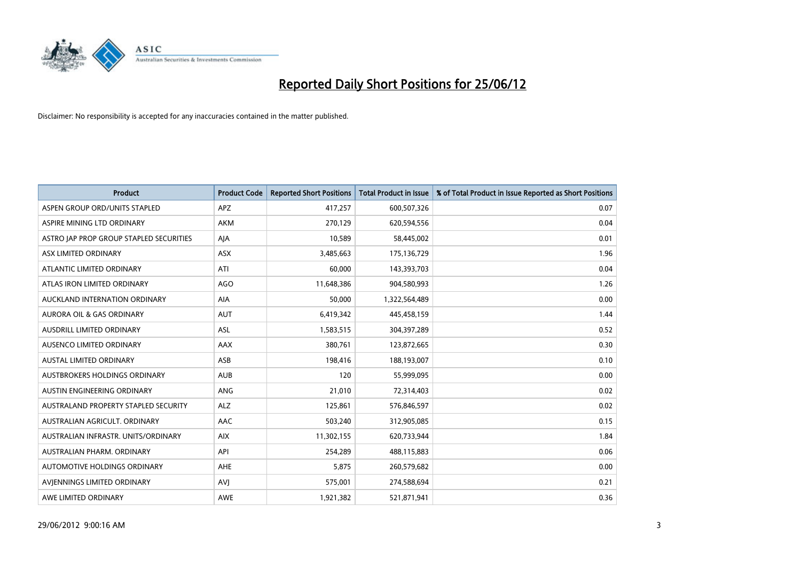

| <b>Product</b>                          | <b>Product Code</b> | <b>Reported Short Positions</b> | <b>Total Product in Issue</b> | % of Total Product in Issue Reported as Short Positions |
|-----------------------------------------|---------------------|---------------------------------|-------------------------------|---------------------------------------------------------|
| ASPEN GROUP ORD/UNITS STAPLED           | <b>APZ</b>          | 417,257                         | 600,507,326                   | 0.07                                                    |
| ASPIRE MINING LTD ORDINARY              | <b>AKM</b>          | 270,129                         | 620,594,556                   | 0.04                                                    |
| ASTRO JAP PROP GROUP STAPLED SECURITIES | AJA                 | 10,589                          | 58,445,002                    | 0.01                                                    |
| ASX LIMITED ORDINARY                    | ASX                 | 3,485,663                       | 175,136,729                   | 1.96                                                    |
| ATLANTIC LIMITED ORDINARY               | ATI                 | 60,000                          | 143,393,703                   | 0.04                                                    |
| ATLAS IRON LIMITED ORDINARY             | <b>AGO</b>          | 11,648,386                      | 904,580,993                   | 1.26                                                    |
| AUCKLAND INTERNATION ORDINARY           | AIA                 | 50,000                          | 1,322,564,489                 | 0.00                                                    |
| AURORA OIL & GAS ORDINARY               | AUT                 | 6,419,342                       | 445,458,159                   | 1.44                                                    |
| AUSDRILL LIMITED ORDINARY               | ASL                 | 1,583,515                       | 304,397,289                   | 0.52                                                    |
| AUSENCO LIMITED ORDINARY                | <b>AAX</b>          | 380,761                         | 123,872,665                   | 0.30                                                    |
| <b>AUSTAL LIMITED ORDINARY</b>          | ASB                 | 198,416                         | 188,193,007                   | 0.10                                                    |
| AUSTBROKERS HOLDINGS ORDINARY           | <b>AUB</b>          | 120                             | 55,999,095                    | 0.00                                                    |
| AUSTIN ENGINEERING ORDINARY             | ANG                 | 21,010                          | 72,314,403                    | 0.02                                                    |
| AUSTRALAND PROPERTY STAPLED SECURITY    | <b>ALZ</b>          | 125,861                         | 576,846,597                   | 0.02                                                    |
| AUSTRALIAN AGRICULT, ORDINARY           | AAC                 | 503,240                         | 312,905,085                   | 0.15                                                    |
| AUSTRALIAN INFRASTR, UNITS/ORDINARY     | <b>AIX</b>          | 11,302,155                      | 620,733,944                   | 1.84                                                    |
| AUSTRALIAN PHARM, ORDINARY              | API                 | 254,289                         | 488,115,883                   | 0.06                                                    |
| AUTOMOTIVE HOLDINGS ORDINARY            | AHE                 | 5,875                           | 260,579,682                   | 0.00                                                    |
| AVIENNINGS LIMITED ORDINARY             | <b>AVI</b>          | 575,001                         | 274,588,694                   | 0.21                                                    |
| AWE LIMITED ORDINARY                    | <b>AWE</b>          | 1,921,382                       | 521,871,941                   | 0.36                                                    |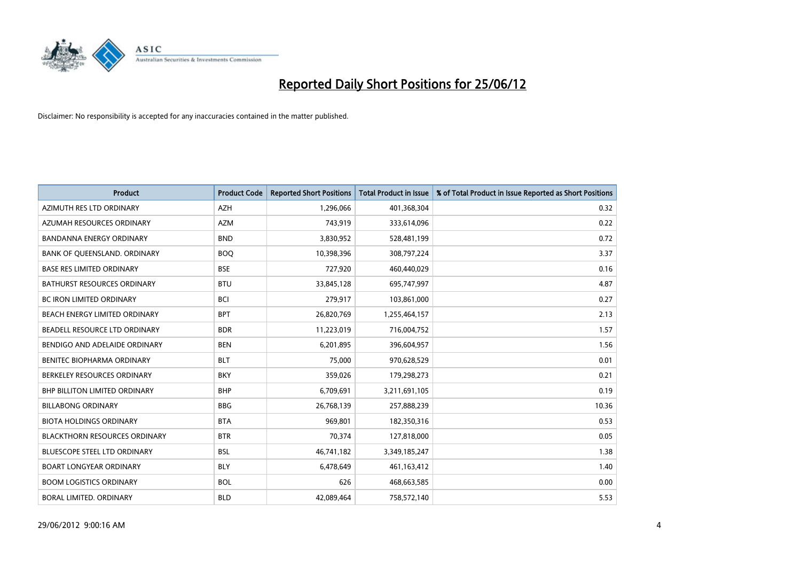

| <b>Product</b>                       | <b>Product Code</b> | <b>Reported Short Positions</b> | <b>Total Product in Issue</b> | % of Total Product in Issue Reported as Short Positions |
|--------------------------------------|---------------------|---------------------------------|-------------------------------|---------------------------------------------------------|
| AZIMUTH RES LTD ORDINARY             | <b>AZH</b>          | 1,296,066                       | 401,368,304                   | 0.32                                                    |
| AZUMAH RESOURCES ORDINARY            | <b>AZM</b>          | 743,919                         | 333,614,096                   | 0.22                                                    |
| <b>BANDANNA ENERGY ORDINARY</b>      | <b>BND</b>          | 3,830,952                       | 528,481,199                   | 0.72                                                    |
| BANK OF QUEENSLAND. ORDINARY         | <b>BOQ</b>          | 10,398,396                      | 308,797,224                   | 3.37                                                    |
| <b>BASE RES LIMITED ORDINARY</b>     | <b>BSE</b>          | 727,920                         | 460,440,029                   | 0.16                                                    |
| <b>BATHURST RESOURCES ORDINARY</b>   | <b>BTU</b>          | 33,845,128                      | 695,747,997                   | 4.87                                                    |
| <b>BC IRON LIMITED ORDINARY</b>      | <b>BCI</b>          | 279,917                         | 103,861,000                   | 0.27                                                    |
| BEACH ENERGY LIMITED ORDINARY        | <b>BPT</b>          | 26,820,769                      | 1,255,464,157                 | 2.13                                                    |
| BEADELL RESOURCE LTD ORDINARY        | <b>BDR</b>          | 11,223,019                      | 716,004,752                   | 1.57                                                    |
| BENDIGO AND ADELAIDE ORDINARY        | <b>BEN</b>          | 6,201,895                       | 396,604,957                   | 1.56                                                    |
| BENITEC BIOPHARMA ORDINARY           | <b>BLT</b>          | 75,000                          | 970,628,529                   | 0.01                                                    |
| BERKELEY RESOURCES ORDINARY          | <b>BKY</b>          | 359,026                         | 179,298,273                   | 0.21                                                    |
| <b>BHP BILLITON LIMITED ORDINARY</b> | <b>BHP</b>          | 6,709,691                       | 3,211,691,105                 | 0.19                                                    |
| <b>BILLABONG ORDINARY</b>            | <b>BBG</b>          | 26,768,139                      | 257,888,239                   | 10.36                                                   |
| <b>BIOTA HOLDINGS ORDINARY</b>       | <b>BTA</b>          | 969,801                         | 182,350,316                   | 0.53                                                    |
| <b>BLACKTHORN RESOURCES ORDINARY</b> | <b>BTR</b>          | 70,374                          | 127,818,000                   | 0.05                                                    |
| BLUESCOPE STEEL LTD ORDINARY         | <b>BSL</b>          | 46,741,182                      | 3,349,185,247                 | 1.38                                                    |
| <b>BOART LONGYEAR ORDINARY</b>       | <b>BLY</b>          | 6,478,649                       | 461,163,412                   | 1.40                                                    |
| <b>BOOM LOGISTICS ORDINARY</b>       | <b>BOL</b>          | 626                             | 468,663,585                   | 0.00                                                    |
| BORAL LIMITED. ORDINARY              | <b>BLD</b>          | 42,089,464                      | 758,572,140                   | 5.53                                                    |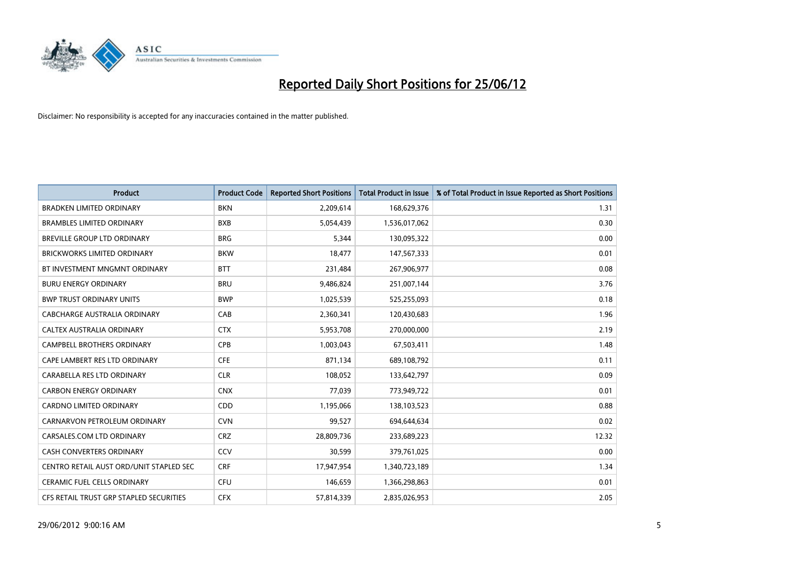

| <b>Product</b>                          | <b>Product Code</b> | <b>Reported Short Positions</b> | <b>Total Product in Issue</b> | % of Total Product in Issue Reported as Short Positions |
|-----------------------------------------|---------------------|---------------------------------|-------------------------------|---------------------------------------------------------|
| <b>BRADKEN LIMITED ORDINARY</b>         | <b>BKN</b>          | 2,209,614                       | 168,629,376                   | 1.31                                                    |
| <b>BRAMBLES LIMITED ORDINARY</b>        | <b>BXB</b>          | 5,054,439                       | 1,536,017,062                 | 0.30                                                    |
| BREVILLE GROUP LTD ORDINARY             | <b>BRG</b>          | 5,344                           | 130,095,322                   | 0.00                                                    |
| <b>BRICKWORKS LIMITED ORDINARY</b>      | <b>BKW</b>          | 18,477                          | 147,567,333                   | 0.01                                                    |
| BT INVESTMENT MNGMNT ORDINARY           | <b>BTT</b>          | 231,484                         | 267,906,977                   | 0.08                                                    |
| <b>BURU ENERGY ORDINARY</b>             | <b>BRU</b>          | 9,486,824                       | 251,007,144                   | 3.76                                                    |
| <b>BWP TRUST ORDINARY UNITS</b>         | <b>BWP</b>          | 1,025,539                       | 525,255,093                   | 0.18                                                    |
| CABCHARGE AUSTRALIA ORDINARY            | CAB                 | 2,360,341                       | 120,430,683                   | 1.96                                                    |
| CALTEX AUSTRALIA ORDINARY               | <b>CTX</b>          | 5,953,708                       | 270,000,000                   | 2.19                                                    |
| <b>CAMPBELL BROTHERS ORDINARY</b>       | <b>CPB</b>          | 1,003,043                       | 67,503,411                    | 1.48                                                    |
| CAPE LAMBERT RES LTD ORDINARY           | <b>CFE</b>          | 871,134                         | 689,108,792                   | 0.11                                                    |
| CARABELLA RES LTD ORDINARY              | <b>CLR</b>          | 108,052                         | 133,642,797                   | 0.09                                                    |
| <b>CARBON ENERGY ORDINARY</b>           | <b>CNX</b>          | 77,039                          | 773,949,722                   | 0.01                                                    |
| <b>CARDNO LIMITED ORDINARY</b>          | CDD                 | 1,195,066                       | 138,103,523                   | 0.88                                                    |
| CARNARVON PETROLEUM ORDINARY            | <b>CVN</b>          | 99,527                          | 694,644,634                   | 0.02                                                    |
| CARSALES.COM LTD ORDINARY               | <b>CRZ</b>          | 28,809,736                      | 233,689,223                   | 12.32                                                   |
| CASH CONVERTERS ORDINARY                | CCV                 | 30,599                          | 379,761,025                   | 0.00                                                    |
| CENTRO RETAIL AUST ORD/UNIT STAPLED SEC | <b>CRF</b>          | 17,947,954                      | 1,340,723,189                 | 1.34                                                    |
| <b>CERAMIC FUEL CELLS ORDINARY</b>      | <b>CFU</b>          | 146,659                         | 1,366,298,863                 | 0.01                                                    |
| CFS RETAIL TRUST GRP STAPLED SECURITIES | <b>CFX</b>          | 57,814,339                      | 2,835,026,953                 | 2.05                                                    |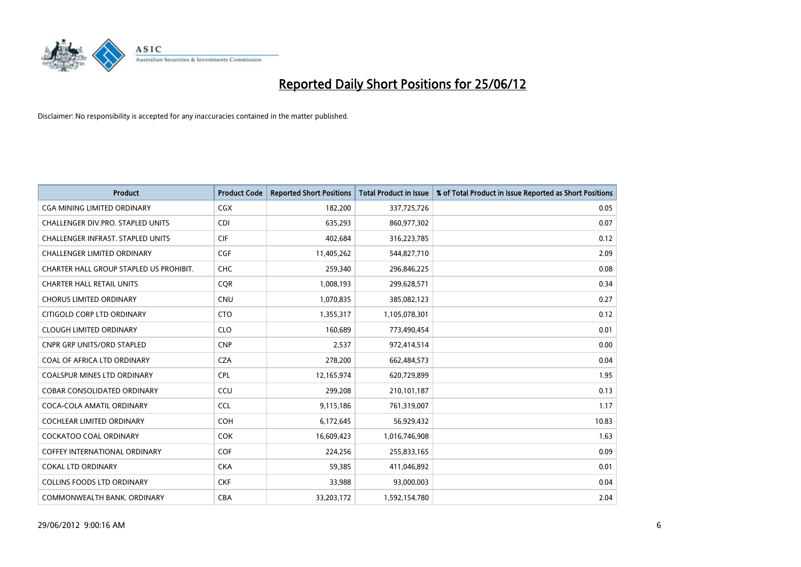

| <b>Product</b>                           | <b>Product Code</b> | <b>Reported Short Positions</b> | <b>Total Product in Issue</b> | % of Total Product in Issue Reported as Short Positions |
|------------------------------------------|---------------------|---------------------------------|-------------------------------|---------------------------------------------------------|
| <b>CGA MINING LIMITED ORDINARY</b>       | CGX                 | 182,200                         | 337,725,726                   | 0.05                                                    |
| CHALLENGER DIV.PRO. STAPLED UNITS        | <b>CDI</b>          | 635,293                         | 860,977,302                   | 0.07                                                    |
| <b>CHALLENGER INFRAST, STAPLED UNITS</b> | <b>CIF</b>          | 402,684                         | 316,223,785                   | 0.12                                                    |
| CHALLENGER LIMITED ORDINARY              | <b>CGF</b>          | 11,405,262                      | 544,827,710                   | 2.09                                                    |
| CHARTER HALL GROUP STAPLED US PROHIBIT.  | <b>CHC</b>          | 259,340                         | 296,846,225                   | 0.08                                                    |
| <b>CHARTER HALL RETAIL UNITS</b>         | CQR                 | 1,008,193                       | 299,628,571                   | 0.34                                                    |
| <b>CHORUS LIMITED ORDINARY</b>           | <b>CNU</b>          | 1,070,835                       | 385,082,123                   | 0.27                                                    |
| CITIGOLD CORP LTD ORDINARY               | <b>CTO</b>          | 1,355,317                       | 1,105,078,301                 | 0.12                                                    |
| <b>CLOUGH LIMITED ORDINARY</b>           | <b>CLO</b>          | 160,689                         | 773,490,454                   | 0.01                                                    |
| <b>CNPR GRP UNITS/ORD STAPLED</b>        | <b>CNP</b>          | 2,537                           | 972,414,514                   | 0.00                                                    |
| COAL OF AFRICA LTD ORDINARY              | <b>CZA</b>          | 278,200                         | 662,484,573                   | 0.04                                                    |
| <b>COALSPUR MINES LTD ORDINARY</b>       | <b>CPL</b>          | 12,165,974                      | 620,729,899                   | 1.95                                                    |
| COBAR CONSOLIDATED ORDINARY              | CCU                 | 299,208                         | 210,101,187                   | 0.13                                                    |
| COCA-COLA AMATIL ORDINARY                | <b>CCL</b>          | 9,115,186                       | 761,319,007                   | 1.17                                                    |
| <b>COCHLEAR LIMITED ORDINARY</b>         | <b>COH</b>          | 6,172,645                       | 56,929,432                    | 10.83                                                   |
| <b>COCKATOO COAL ORDINARY</b>            | <b>COK</b>          | 16,609,423                      | 1,016,746,908                 | 1.63                                                    |
| COFFEY INTERNATIONAL ORDINARY            | <b>COF</b>          | 224,256                         | 255,833,165                   | 0.09                                                    |
| <b>COKAL LTD ORDINARY</b>                | <b>CKA</b>          | 59,385                          | 411,046,892                   | 0.01                                                    |
| <b>COLLINS FOODS LTD ORDINARY</b>        | <b>CKF</b>          | 33,988                          | 93,000,003                    | 0.04                                                    |
| COMMONWEALTH BANK, ORDINARY              | <b>CBA</b>          | 33,203,172                      | 1,592,154,780                 | 2.04                                                    |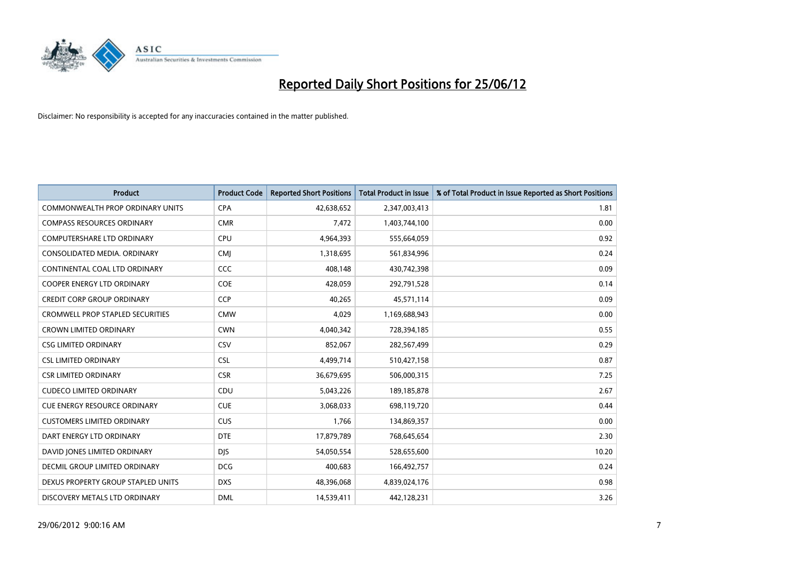

| <b>Product</b>                          | <b>Product Code</b> | <b>Reported Short Positions</b> | <b>Total Product in Issue</b> | % of Total Product in Issue Reported as Short Positions |
|-----------------------------------------|---------------------|---------------------------------|-------------------------------|---------------------------------------------------------|
| <b>COMMONWEALTH PROP ORDINARY UNITS</b> | <b>CPA</b>          | 42,638,652                      | 2,347,003,413                 | 1.81                                                    |
| <b>COMPASS RESOURCES ORDINARY</b>       | <b>CMR</b>          | 7,472                           | 1,403,744,100                 | 0.00                                                    |
| <b>COMPUTERSHARE LTD ORDINARY</b>       | <b>CPU</b>          | 4,964,393                       | 555,664,059                   | 0.92                                                    |
| CONSOLIDATED MEDIA. ORDINARY            | <b>CMJ</b>          | 1,318,695                       | 561,834,996                   | 0.24                                                    |
| CONTINENTAL COAL LTD ORDINARY           | CCC                 | 408,148                         | 430,742,398                   | 0.09                                                    |
| <b>COOPER ENERGY LTD ORDINARY</b>       | <b>COE</b>          | 428,059                         | 292,791,528                   | 0.14                                                    |
| <b>CREDIT CORP GROUP ORDINARY</b>       | <b>CCP</b>          | 40,265                          | 45,571,114                    | 0.09                                                    |
| <b>CROMWELL PROP STAPLED SECURITIES</b> | <b>CMW</b>          | 4,029                           | 1,169,688,943                 | 0.00                                                    |
| <b>CROWN LIMITED ORDINARY</b>           | <b>CWN</b>          | 4,040,342                       | 728,394,185                   | 0.55                                                    |
| <b>CSG LIMITED ORDINARY</b>             | CSV                 | 852,067                         | 282,567,499                   | 0.29                                                    |
| <b>CSL LIMITED ORDINARY</b>             | <b>CSL</b>          | 4,499,714                       | 510,427,158                   | 0.87                                                    |
| <b>CSR LIMITED ORDINARY</b>             | <b>CSR</b>          | 36,679,695                      | 506,000,315                   | 7.25                                                    |
| <b>CUDECO LIMITED ORDINARY</b>          | CDU                 | 5,043,226                       | 189, 185, 878                 | 2.67                                                    |
| <b>CUE ENERGY RESOURCE ORDINARY</b>     | <b>CUE</b>          | 3,068,033                       | 698,119,720                   | 0.44                                                    |
| <b>CUSTOMERS LIMITED ORDINARY</b>       | <b>CUS</b>          | 1,766                           | 134,869,357                   | 0.00                                                    |
| DART ENERGY LTD ORDINARY                | <b>DTE</b>          | 17,879,789                      | 768,645,654                   | 2.30                                                    |
| DAVID JONES LIMITED ORDINARY            | <b>DJS</b>          | 54,050,554                      | 528,655,600                   | 10.20                                                   |
| <b>DECMIL GROUP LIMITED ORDINARY</b>    | <b>DCG</b>          | 400,683                         | 166,492,757                   | 0.24                                                    |
| DEXUS PROPERTY GROUP STAPLED UNITS      | <b>DXS</b>          | 48,396,068                      | 4,839,024,176                 | 0.98                                                    |
| DISCOVERY METALS LTD ORDINARY           | <b>DML</b>          | 14,539,411                      | 442,128,231                   | 3.26                                                    |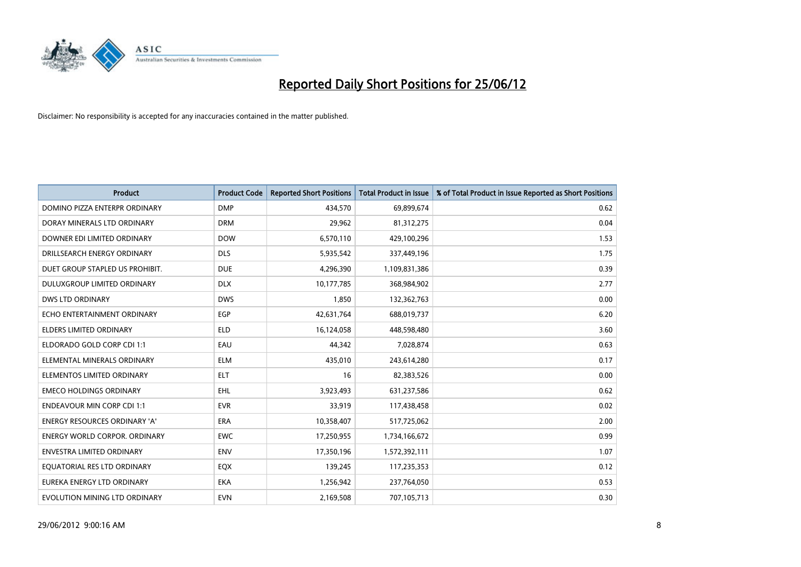

| <b>Product</b>                       | <b>Product Code</b> | <b>Reported Short Positions</b> | <b>Total Product in Issue</b> | % of Total Product in Issue Reported as Short Positions |
|--------------------------------------|---------------------|---------------------------------|-------------------------------|---------------------------------------------------------|
| DOMINO PIZZA ENTERPR ORDINARY        | <b>DMP</b>          | 434,570                         | 69,899,674                    | 0.62                                                    |
| DORAY MINERALS LTD ORDINARY          | <b>DRM</b>          | 29,962                          | 81,312,275                    | 0.04                                                    |
| DOWNER EDI LIMITED ORDINARY          | <b>DOW</b>          | 6,570,110                       | 429,100,296                   | 1.53                                                    |
| DRILLSEARCH ENERGY ORDINARY          | <b>DLS</b>          | 5,935,542                       | 337,449,196                   | 1.75                                                    |
| DUET GROUP STAPLED US PROHIBIT.      | <b>DUE</b>          | 4,296,390                       | 1,109,831,386                 | 0.39                                                    |
| DULUXGROUP LIMITED ORDINARY          | <b>DLX</b>          | 10,177,785                      | 368,984,902                   | 2.77                                                    |
| <b>DWS LTD ORDINARY</b>              | <b>DWS</b>          | 1,850                           | 132,362,763                   | 0.00                                                    |
| ECHO ENTERTAINMENT ORDINARY          | <b>EGP</b>          | 42,631,764                      | 688,019,737                   | 6.20                                                    |
| <b>ELDERS LIMITED ORDINARY</b>       | <b>ELD</b>          | 16,124,058                      | 448,598,480                   | 3.60                                                    |
| ELDORADO GOLD CORP CDI 1:1           | EAU                 | 44,342                          | 7,028,874                     | 0.63                                                    |
| ELEMENTAL MINERALS ORDINARY          | <b>ELM</b>          | 435,010                         | 243,614,280                   | 0.17                                                    |
| ELEMENTOS LIMITED ORDINARY           | ELT                 | 16                              | 82,383,526                    | 0.00                                                    |
| <b>EMECO HOLDINGS ORDINARY</b>       | <b>EHL</b>          | 3,923,493                       | 631,237,586                   | 0.62                                                    |
| <b>ENDEAVOUR MIN CORP CDI 1:1</b>    | <b>EVR</b>          | 33,919                          | 117,438,458                   | 0.02                                                    |
| ENERGY RESOURCES ORDINARY 'A'        | <b>ERA</b>          | 10,358,407                      | 517,725,062                   | 2.00                                                    |
| <b>ENERGY WORLD CORPOR, ORDINARY</b> | <b>EWC</b>          | 17,250,955                      | 1,734,166,672                 | 0.99                                                    |
| <b>ENVESTRA LIMITED ORDINARY</b>     | <b>ENV</b>          | 17,350,196                      | 1,572,392,111                 | 1.07                                                    |
| EQUATORIAL RES LTD ORDINARY          | EQX                 | 139,245                         | 117,235,353                   | 0.12                                                    |
| EUREKA ENERGY LTD ORDINARY           | <b>EKA</b>          | 1,256,942                       | 237,764,050                   | 0.53                                                    |
| EVOLUTION MINING LTD ORDINARY        | <b>EVN</b>          | 2,169,508                       | 707,105,713                   | 0.30                                                    |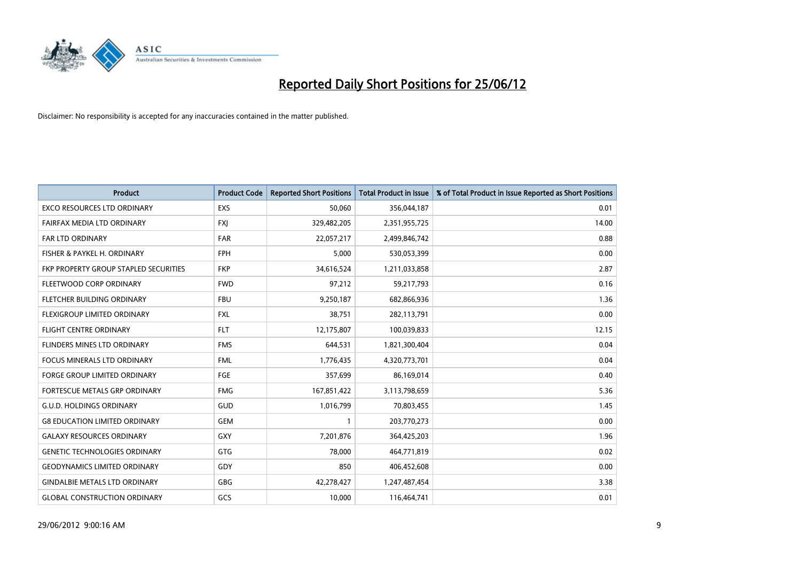

| <b>Product</b>                        | <b>Product Code</b> | <b>Reported Short Positions</b> | <b>Total Product in Issue</b> | % of Total Product in Issue Reported as Short Positions |
|---------------------------------------|---------------------|---------------------------------|-------------------------------|---------------------------------------------------------|
| <b>EXCO RESOURCES LTD ORDINARY</b>    | <b>EXS</b>          | 50,060                          | 356,044,187                   | 0.01                                                    |
| FAIRFAX MEDIA LTD ORDINARY            | <b>FXJ</b>          | 329,482,205                     | 2,351,955,725                 | 14.00                                                   |
| <b>FAR LTD ORDINARY</b>               | <b>FAR</b>          | 22,057,217                      | 2,499,846,742                 | 0.88                                                    |
| FISHER & PAYKEL H. ORDINARY           | <b>FPH</b>          | 5,000                           | 530,053,399                   | 0.00                                                    |
| FKP PROPERTY GROUP STAPLED SECURITIES | <b>FKP</b>          | 34,616,524                      | 1,211,033,858                 | 2.87                                                    |
| FLEETWOOD CORP ORDINARY               | <b>FWD</b>          | 97,212                          | 59,217,793                    | 0.16                                                    |
| FLETCHER BUILDING ORDINARY            | <b>FBU</b>          | 9,250,187                       | 682,866,936                   | 1.36                                                    |
| FLEXIGROUP LIMITED ORDINARY           | <b>FXL</b>          | 38,751                          | 282,113,791                   | 0.00                                                    |
| <b>FLIGHT CENTRE ORDINARY</b>         | <b>FLT</b>          | 12,175,807                      | 100,039,833                   | 12.15                                                   |
| FLINDERS MINES LTD ORDINARY           | <b>FMS</b>          | 644,531                         | 1,821,300,404                 | 0.04                                                    |
| FOCUS MINERALS LTD ORDINARY           | <b>FML</b>          | 1,776,435                       | 4,320,773,701                 | 0.04                                                    |
| <b>FORGE GROUP LIMITED ORDINARY</b>   | <b>FGE</b>          | 357,699                         | 86,169,014                    | 0.40                                                    |
| FORTESCUE METALS GRP ORDINARY         | <b>FMG</b>          | 167,851,422                     | 3,113,798,659                 | 5.36                                                    |
| <b>G.U.D. HOLDINGS ORDINARY</b>       | GUD                 | 1,016,799                       | 70,803,455                    | 1.45                                                    |
| <b>G8 EDUCATION LIMITED ORDINARY</b>  | <b>GEM</b>          | 1                               | 203,770,273                   | 0.00                                                    |
| <b>GALAXY RESOURCES ORDINARY</b>      | GXY                 | 7,201,876                       | 364,425,203                   | 1.96                                                    |
| <b>GENETIC TECHNOLOGIES ORDINARY</b>  | GTG                 | 78,000                          | 464,771,819                   | 0.02                                                    |
| <b>GEODYNAMICS LIMITED ORDINARY</b>   | GDY                 | 850                             | 406,452,608                   | 0.00                                                    |
| <b>GINDALBIE METALS LTD ORDINARY</b>  | GBG                 | 42,278,427                      | 1,247,487,454                 | 3.38                                                    |
| <b>GLOBAL CONSTRUCTION ORDINARY</b>   | GCS                 | 10,000                          | 116,464,741                   | 0.01                                                    |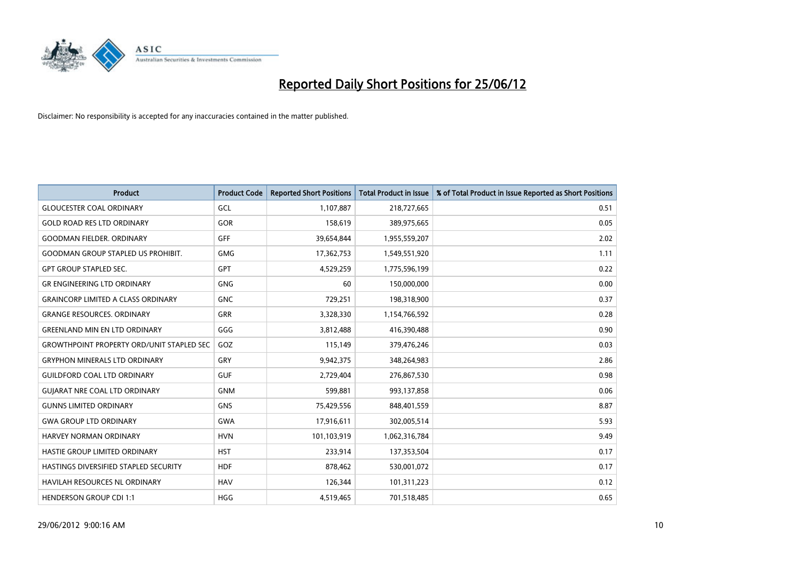

| <b>Product</b>                                   | <b>Product Code</b> | <b>Reported Short Positions</b> | <b>Total Product in Issue</b> | % of Total Product in Issue Reported as Short Positions |
|--------------------------------------------------|---------------------|---------------------------------|-------------------------------|---------------------------------------------------------|
| <b>GLOUCESTER COAL ORDINARY</b>                  | GCL                 | 1,107,887                       | 218,727,665                   | 0.51                                                    |
| <b>GOLD ROAD RES LTD ORDINARY</b>                | GOR                 | 158,619                         | 389,975,665                   | 0.05                                                    |
| <b>GOODMAN FIELDER, ORDINARY</b>                 | GFF                 | 39,654,844                      | 1,955,559,207                 | 2.02                                                    |
| <b>GOODMAN GROUP STAPLED US PROHIBIT.</b>        | <b>GMG</b>          | 17,362,753                      | 1,549,551,920                 | 1.11                                                    |
| <b>GPT GROUP STAPLED SEC.</b>                    | GPT                 | 4,529,259                       | 1,775,596,199                 | 0.22                                                    |
| <b>GR ENGINEERING LTD ORDINARY</b>               | <b>GNG</b>          | 60                              | 150,000,000                   | 0.00                                                    |
| <b>GRAINCORP LIMITED A CLASS ORDINARY</b>        | <b>GNC</b>          | 729,251                         | 198,318,900                   | 0.37                                                    |
| <b>GRANGE RESOURCES. ORDINARY</b>                | <b>GRR</b>          | 3,328,330                       | 1,154,766,592                 | 0.28                                                    |
| <b>GREENLAND MIN EN LTD ORDINARY</b>             | GGG                 | 3,812,488                       | 416,390,488                   | 0.90                                                    |
| <b>GROWTHPOINT PROPERTY ORD/UNIT STAPLED SEC</b> | GOZ                 | 115,149                         | 379,476,246                   | 0.03                                                    |
| <b>GRYPHON MINERALS LTD ORDINARY</b>             | GRY                 | 9,942,375                       | 348,264,983                   | 2.86                                                    |
| <b>GUILDFORD COAL LTD ORDINARY</b>               | <b>GUF</b>          | 2,729,404                       | 276,867,530                   | 0.98                                                    |
| <b>GUIARAT NRE COAL LTD ORDINARY</b>             | <b>GNM</b>          | 599,881                         | 993,137,858                   | 0.06                                                    |
| <b>GUNNS LIMITED ORDINARY</b>                    | <b>GNS</b>          | 75,429,556                      | 848,401,559                   | 8.87                                                    |
| <b>GWA GROUP LTD ORDINARY</b>                    | <b>GWA</b>          | 17,916,611                      | 302,005,514                   | 5.93                                                    |
| <b>HARVEY NORMAN ORDINARY</b>                    | <b>HVN</b>          | 101,103,919                     | 1,062,316,784                 | 9.49                                                    |
| HASTIE GROUP LIMITED ORDINARY                    | <b>HST</b>          | 233,914                         | 137,353,504                   | 0.17                                                    |
| HASTINGS DIVERSIFIED STAPLED SECURITY            | <b>HDF</b>          | 878,462                         | 530,001,072                   | 0.17                                                    |
| <b>HAVILAH RESOURCES NL ORDINARY</b>             | <b>HAV</b>          | 126,344                         | 101,311,223                   | 0.12                                                    |
| <b>HENDERSON GROUP CDI 1:1</b>                   | <b>HGG</b>          | 4,519,465                       | 701,518,485                   | 0.65                                                    |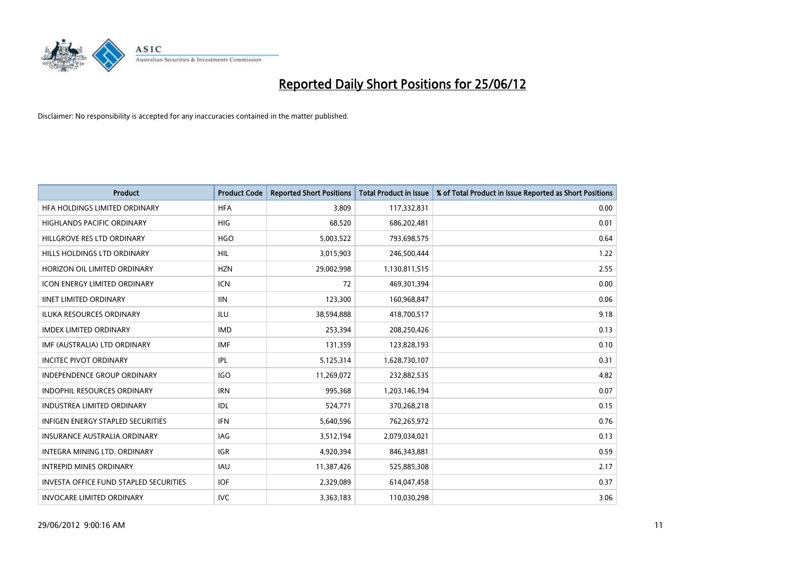

| <b>Product</b>                                | <b>Product Code</b> | <b>Reported Short Positions</b> | <b>Total Product in Issue</b> | % of Total Product in Issue Reported as Short Positions |
|-----------------------------------------------|---------------------|---------------------------------|-------------------------------|---------------------------------------------------------|
| HFA HOLDINGS LIMITED ORDINARY                 | <b>HFA</b>          | 3.809                           | 117,332,831                   | 0.00                                                    |
| HIGHLANDS PACIFIC ORDINARY                    | <b>HIG</b>          | 68,520                          | 686,202,481                   | 0.01                                                    |
| HILLGROVE RES LTD ORDINARY                    | <b>HGO</b>          | 5,003,522                       | 793,698,575                   | 0.64                                                    |
| HILLS HOLDINGS LTD ORDINARY                   | <b>HIL</b>          | 3,015,903                       | 246,500,444                   | 1.22                                                    |
| HORIZON OIL LIMITED ORDINARY                  | <b>HZN</b>          | 29,002,998                      | 1,130,811,515                 | 2.55                                                    |
| <b>ICON ENERGY LIMITED ORDINARY</b>           | <b>ICN</b>          | 72                              | 469,301,394                   | 0.00                                                    |
| <b>IINET LIMITED ORDINARY</b>                 | <b>IIN</b>          | 123,300                         | 160,968,847                   | 0.06                                                    |
| ILUKA RESOURCES ORDINARY                      | ILU                 | 38,594,888                      | 418,700,517                   | 9.18                                                    |
| <b>IMDEX LIMITED ORDINARY</b>                 | <b>IMD</b>          | 253,394                         | 208,250,426                   | 0.13                                                    |
| IMF (AUSTRALIA) LTD ORDINARY                  | <b>IMF</b>          | 131,359                         | 123,828,193                   | 0.10                                                    |
| <b>INCITEC PIVOT ORDINARY</b>                 | <b>IPL</b>          | 5,125,314                       | 1,628,730,107                 | 0.31                                                    |
| <b>INDEPENDENCE GROUP ORDINARY</b>            | <b>IGO</b>          | 11,269,072                      | 232,882,535                   | 4.82                                                    |
| INDOPHIL RESOURCES ORDINARY                   | <b>IRN</b>          | 995,368                         | 1,203,146,194                 | 0.07                                                    |
| <b>INDUSTREA LIMITED ORDINARY</b>             | IDL                 | 524,771                         | 370,268,218                   | 0.15                                                    |
| <b>INFIGEN ENERGY STAPLED SECURITIES</b>      | <b>IFN</b>          | 5,640,596                       | 762,265,972                   | 0.76                                                    |
| INSURANCE AUSTRALIA ORDINARY                  | IAG                 | 3,512,194                       | 2,079,034,021                 | 0.13                                                    |
| INTEGRA MINING LTD. ORDINARY                  | <b>IGR</b>          | 4,920,394                       | 846,343,881                   | 0.59                                                    |
| <b>INTREPID MINES ORDINARY</b>                | <b>IAU</b>          | 11,387,426                      | 525,885,308                   | 2.17                                                    |
| <b>INVESTA OFFICE FUND STAPLED SECURITIES</b> | <b>IOF</b>          | 2,329,089                       | 614,047,458                   | 0.37                                                    |
| <b>INVOCARE LIMITED ORDINARY</b>              | <b>IVC</b>          | 3,363,183                       | 110,030,298                   | 3.06                                                    |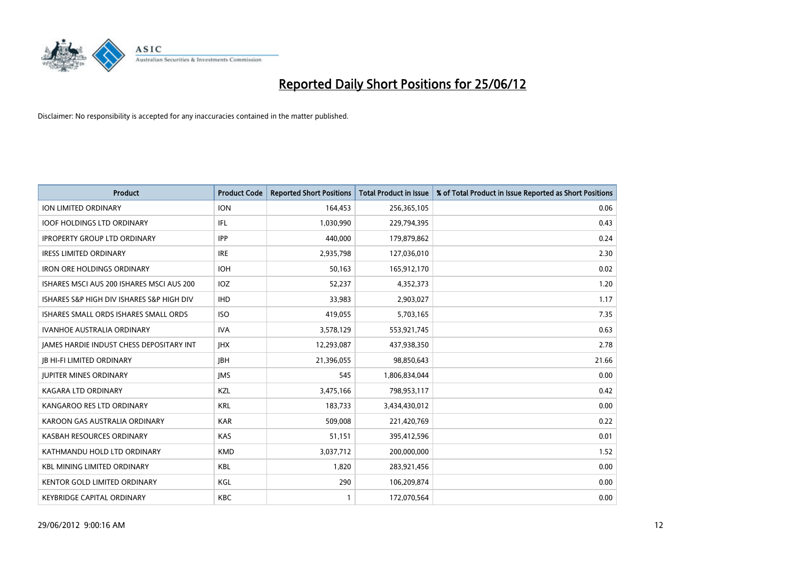

| <b>Product</b>                            | <b>Product Code</b> | <b>Reported Short Positions</b> | <b>Total Product in Issue</b> | % of Total Product in Issue Reported as Short Positions |
|-------------------------------------------|---------------------|---------------------------------|-------------------------------|---------------------------------------------------------|
| <b>ION LIMITED ORDINARY</b>               | <b>ION</b>          | 164,453                         | 256,365,105                   | 0.06                                                    |
| <b>IOOF HOLDINGS LTD ORDINARY</b>         | IFL                 | 1,030,990                       | 229,794,395                   | 0.43                                                    |
| <b>IPROPERTY GROUP LTD ORDINARY</b>       | <b>IPP</b>          | 440,000                         | 179,879,862                   | 0.24                                                    |
| <b>IRESS LIMITED ORDINARY</b>             | <b>IRE</b>          | 2,935,798                       | 127,036,010                   | 2.30                                                    |
| <b>IRON ORE HOLDINGS ORDINARY</b>         | <b>IOH</b>          | 50,163                          | 165,912,170                   | 0.02                                                    |
| ISHARES MSCI AUS 200 ISHARES MSCI AUS 200 | <b>IOZ</b>          | 52,237                          | 4,352,373                     | 1.20                                                    |
| ISHARES S&P HIGH DIV ISHARES S&P HIGH DIV | <b>IHD</b>          | 33,983                          | 2,903,027                     | 1.17                                                    |
| ISHARES SMALL ORDS ISHARES SMALL ORDS     | <b>ISO</b>          | 419,055                         | 5,703,165                     | 7.35                                                    |
| <b>IVANHOE AUSTRALIA ORDINARY</b>         | <b>IVA</b>          | 3,578,129                       | 553,921,745                   | 0.63                                                    |
| JAMES HARDIE INDUST CHESS DEPOSITARY INT  | <b>IHX</b>          | 12,293,087                      | 437,938,350                   | 2.78                                                    |
| JB HI-FI LIMITED ORDINARY                 | <b>JBH</b>          | 21,396,055                      | 98,850,643                    | 21.66                                                   |
| <b>JUPITER MINES ORDINARY</b>             | <b>IMS</b>          | 545                             | 1,806,834,044                 | 0.00                                                    |
| KAGARA LTD ORDINARY                       | KZL                 | 3,475,166                       | 798,953,117                   | 0.42                                                    |
| KANGAROO RES LTD ORDINARY                 | <b>KRL</b>          | 183,733                         | 3,434,430,012                 | 0.00                                                    |
| KAROON GAS AUSTRALIA ORDINARY             | <b>KAR</b>          | 509,008                         | 221,420,769                   | 0.22                                                    |
| KASBAH RESOURCES ORDINARY                 | <b>KAS</b>          | 51,151                          | 395,412,596                   | 0.01                                                    |
| KATHMANDU HOLD LTD ORDINARY               | <b>KMD</b>          | 3,037,712                       | 200,000,000                   | 1.52                                                    |
| <b>KBL MINING LIMITED ORDINARY</b>        | KBL                 | 1,820                           | 283,921,456                   | 0.00                                                    |
| KENTOR GOLD LIMITED ORDINARY              | KGL                 | 290                             | 106,209,874                   | 0.00                                                    |
| <b>KEYBRIDGE CAPITAL ORDINARY</b>         | <b>KBC</b>          | 1                               | 172,070,564                   | 0.00                                                    |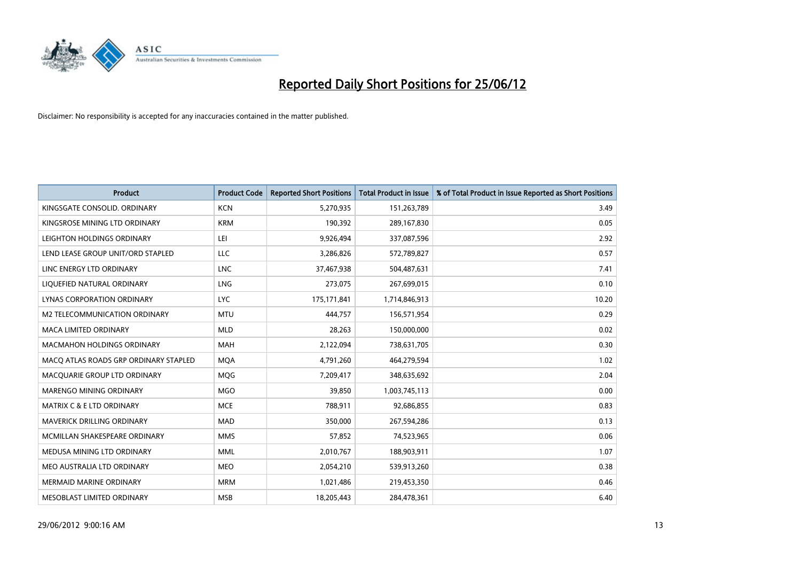

| <b>Product</b>                        | <b>Product Code</b> | <b>Reported Short Positions</b> | <b>Total Product in Issue</b> | % of Total Product in Issue Reported as Short Positions |
|---------------------------------------|---------------------|---------------------------------|-------------------------------|---------------------------------------------------------|
| KINGSGATE CONSOLID. ORDINARY          | <b>KCN</b>          | 5,270,935                       | 151,263,789                   | 3.49                                                    |
| KINGSROSE MINING LTD ORDINARY         | <b>KRM</b>          | 190,392                         | 289,167,830                   | 0.05                                                    |
| LEIGHTON HOLDINGS ORDINARY            | LEI                 | 9,926,494                       | 337,087,596                   | 2.92                                                    |
| LEND LEASE GROUP UNIT/ORD STAPLED     | <b>LLC</b>          | 3,286,826                       | 572,789,827                   | 0.57                                                    |
| LINC ENERGY LTD ORDINARY              | <b>LNC</b>          | 37,467,938                      | 504,487,631                   | 7.41                                                    |
| LIQUEFIED NATURAL ORDINARY            | LNG                 | 273,075                         | 267,699,015                   | 0.10                                                    |
| LYNAS CORPORATION ORDINARY            | <b>LYC</b>          | 175,171,841                     | 1,714,846,913                 | 10.20                                                   |
| M2 TELECOMMUNICATION ORDINARY         | <b>MTU</b>          | 444,757                         | 156,571,954                   | 0.29                                                    |
| <b>MACA LIMITED ORDINARY</b>          | <b>MLD</b>          | 28,263                          | 150,000,000                   | 0.02                                                    |
| <b>MACMAHON HOLDINGS ORDINARY</b>     | <b>MAH</b>          | 2,122,094                       | 738,631,705                   | 0.30                                                    |
| MACO ATLAS ROADS GRP ORDINARY STAPLED | <b>MOA</b>          | 4,791,260                       | 464,279,594                   | 1.02                                                    |
| MACQUARIE GROUP LTD ORDINARY          | MQG                 | 7,209,417                       | 348,635,692                   | 2.04                                                    |
| MARENGO MINING ORDINARY               | <b>MGO</b>          | 39,850                          | 1,003,745,113                 | 0.00                                                    |
| <b>MATRIX C &amp; E LTD ORDINARY</b>  | <b>MCE</b>          | 788,911                         | 92,686,855                    | 0.83                                                    |
| <b>MAVERICK DRILLING ORDINARY</b>     | <b>MAD</b>          | 350,000                         | 267,594,286                   | 0.13                                                    |
| MCMILLAN SHAKESPEARE ORDINARY         | <b>MMS</b>          | 57,852                          | 74,523,965                    | 0.06                                                    |
| MEDUSA MINING LTD ORDINARY            | <b>MML</b>          | 2,010,767                       | 188,903,911                   | 1.07                                                    |
| MEO AUSTRALIA LTD ORDINARY            | <b>MEO</b>          | 2,054,210                       | 539,913,260                   | 0.38                                                    |
| <b>MERMAID MARINE ORDINARY</b>        | <b>MRM</b>          | 1,021,486                       | 219,453,350                   | 0.46                                                    |
| MESOBLAST LIMITED ORDINARY            | <b>MSB</b>          | 18,205,443                      | 284,478,361                   | 6.40                                                    |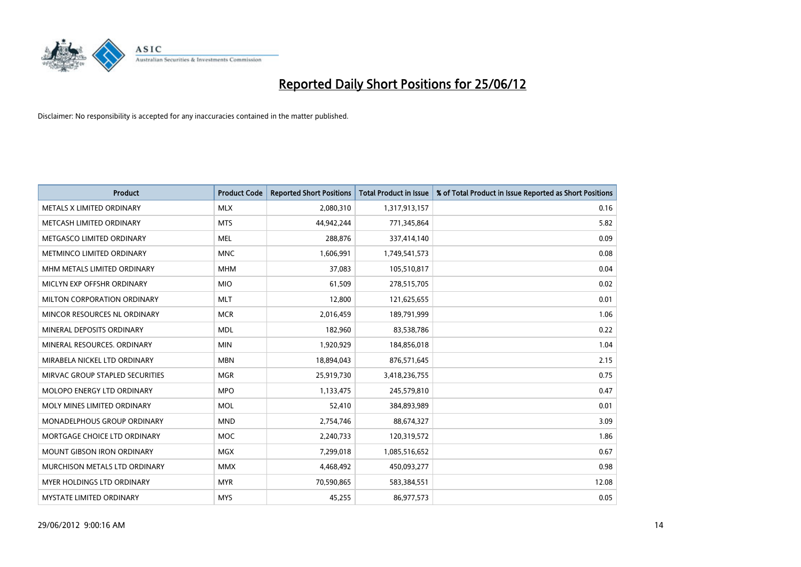

| <b>Product</b>                  | <b>Product Code</b> | <b>Reported Short Positions</b> | <b>Total Product in Issue</b> | % of Total Product in Issue Reported as Short Positions |
|---------------------------------|---------------------|---------------------------------|-------------------------------|---------------------------------------------------------|
| METALS X LIMITED ORDINARY       | <b>MLX</b>          | 2,080,310                       | 1,317,913,157                 | 0.16                                                    |
| METCASH LIMITED ORDINARY        | <b>MTS</b>          | 44,942,244                      | 771,345,864                   | 5.82                                                    |
| METGASCO LIMITED ORDINARY       | <b>MEL</b>          | 288,876                         | 337,414,140                   | 0.09                                                    |
| METMINCO LIMITED ORDINARY       | <b>MNC</b>          | 1,606,991                       | 1,749,541,573                 | 0.08                                                    |
| MHM METALS LIMITED ORDINARY     | <b>MHM</b>          | 37,083                          | 105,510,817                   | 0.04                                                    |
| MICLYN EXP OFFSHR ORDINARY      | <b>MIO</b>          | 61,509                          | 278,515,705                   | 0.02                                                    |
| MILTON CORPORATION ORDINARY     | <b>MLT</b>          | 12,800                          | 121,625,655                   | 0.01                                                    |
| MINCOR RESOURCES NL ORDINARY    | <b>MCR</b>          | 2,016,459                       | 189,791,999                   | 1.06                                                    |
| MINERAL DEPOSITS ORDINARY       | <b>MDL</b>          | 182,960                         | 83,538,786                    | 0.22                                                    |
| MINERAL RESOURCES, ORDINARY     | <b>MIN</b>          | 1,920,929                       | 184,856,018                   | 1.04                                                    |
| MIRABELA NICKEL LTD ORDINARY    | <b>MBN</b>          | 18,894,043                      | 876,571,645                   | 2.15                                                    |
| MIRVAC GROUP STAPLED SECURITIES | <b>MGR</b>          | 25,919,730                      | 3,418,236,755                 | 0.75                                                    |
| MOLOPO ENERGY LTD ORDINARY      | <b>MPO</b>          | 1,133,475                       | 245,579,810                   | 0.47                                                    |
| MOLY MINES LIMITED ORDINARY     | <b>MOL</b>          | 52,410                          | 384,893,989                   | 0.01                                                    |
| MONADELPHOUS GROUP ORDINARY     | <b>MND</b>          | 2,754,746                       | 88,674,327                    | 3.09                                                    |
| MORTGAGE CHOICE LTD ORDINARY    | <b>MOC</b>          | 2,240,733                       | 120,319,572                   | 1.86                                                    |
| MOUNT GIBSON IRON ORDINARY      | <b>MGX</b>          | 7,299,018                       | 1,085,516,652                 | 0.67                                                    |
| MURCHISON METALS LTD ORDINARY   | <b>MMX</b>          | 4,468,492                       | 450,093,277                   | 0.98                                                    |
| MYER HOLDINGS LTD ORDINARY      | <b>MYR</b>          | 70,590,865                      | 583,384,551                   | 12.08                                                   |
| <b>MYSTATE LIMITED ORDINARY</b> | <b>MYS</b>          | 45,255                          | 86,977,573                    | 0.05                                                    |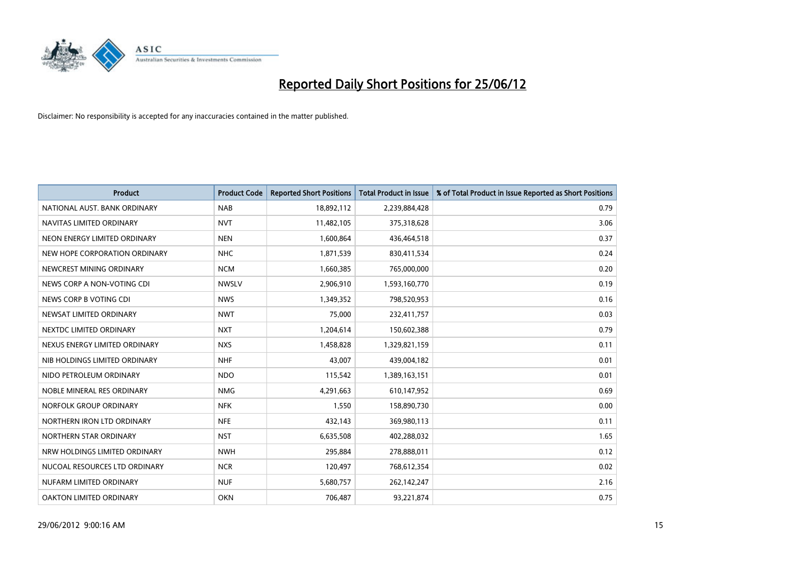

| <b>Product</b>                 | <b>Product Code</b> | <b>Reported Short Positions</b> | <b>Total Product in Issue</b> | % of Total Product in Issue Reported as Short Positions |
|--------------------------------|---------------------|---------------------------------|-------------------------------|---------------------------------------------------------|
| NATIONAL AUST, BANK ORDINARY   | <b>NAB</b>          | 18,892,112                      | 2,239,884,428                 | 0.79                                                    |
| NAVITAS LIMITED ORDINARY       | <b>NVT</b>          | 11,482,105                      | 375,318,628                   | 3.06                                                    |
| NEON ENERGY LIMITED ORDINARY   | <b>NEN</b>          | 1,600,864                       | 436,464,518                   | 0.37                                                    |
| NEW HOPE CORPORATION ORDINARY  | <b>NHC</b>          | 1,871,539                       | 830,411,534                   | 0.24                                                    |
| NEWCREST MINING ORDINARY       | <b>NCM</b>          | 1,660,385                       | 765,000,000                   | 0.20                                                    |
| NEWS CORP A NON-VOTING CDI     | <b>NWSLV</b>        | 2,906,910                       | 1,593,160,770                 | 0.19                                                    |
| NEWS CORP B VOTING CDI         | <b>NWS</b>          | 1,349,352                       | 798,520,953                   | 0.16                                                    |
| NEWSAT LIMITED ORDINARY        | <b>NWT</b>          | 75,000                          | 232,411,757                   | 0.03                                                    |
| NEXTDC LIMITED ORDINARY        | <b>NXT</b>          | 1,204,614                       | 150,602,388                   | 0.79                                                    |
| NEXUS ENERGY LIMITED ORDINARY  | <b>NXS</b>          | 1,458,828                       | 1,329,821,159                 | 0.11                                                    |
| NIB HOLDINGS LIMITED ORDINARY  | <b>NHF</b>          | 43,007                          | 439,004,182                   | 0.01                                                    |
| NIDO PETROLEUM ORDINARY        | <b>NDO</b>          | 115,542                         | 1,389,163,151                 | 0.01                                                    |
| NOBLE MINERAL RES ORDINARY     | <b>NMG</b>          | 4,291,663                       | 610,147,952                   | 0.69                                                    |
| NORFOLK GROUP ORDINARY         | <b>NFK</b>          | 1,550                           | 158,890,730                   | 0.00                                                    |
| NORTHERN IRON LTD ORDINARY     | <b>NFE</b>          | 432,143                         | 369,980,113                   | 0.11                                                    |
| NORTHERN STAR ORDINARY         | <b>NST</b>          | 6,635,508                       | 402,288,032                   | 1.65                                                    |
| NRW HOLDINGS LIMITED ORDINARY  | <b>NWH</b>          | 295,884                         | 278,888,011                   | 0.12                                                    |
| NUCOAL RESOURCES LTD ORDINARY  | <b>NCR</b>          | 120,497                         | 768,612,354                   | 0.02                                                    |
| NUFARM LIMITED ORDINARY        | <b>NUF</b>          | 5,680,757                       | 262,142,247                   | 2.16                                                    |
| <b>OAKTON LIMITED ORDINARY</b> | <b>OKN</b>          | 706,487                         | 93,221,874                    | 0.75                                                    |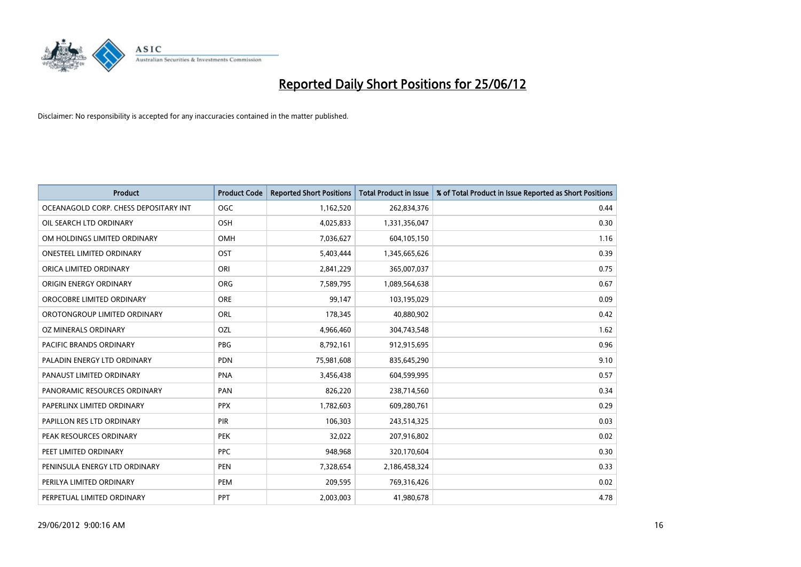

| <b>Product</b>                        | <b>Product Code</b> | <b>Reported Short Positions</b> | <b>Total Product in Issue</b> | % of Total Product in Issue Reported as Short Positions |
|---------------------------------------|---------------------|---------------------------------|-------------------------------|---------------------------------------------------------|
| OCEANAGOLD CORP. CHESS DEPOSITARY INT | <b>OGC</b>          | 1,162,520                       | 262,834,376                   | 0.44                                                    |
| OIL SEARCH LTD ORDINARY               | OSH                 | 4,025,833                       | 1,331,356,047                 | 0.30                                                    |
| OM HOLDINGS LIMITED ORDINARY          | <b>OMH</b>          | 7,036,627                       | 604,105,150                   | 1.16                                                    |
| <b>ONESTEEL LIMITED ORDINARY</b>      | OST                 | 5,403,444                       | 1,345,665,626                 | 0.39                                                    |
| ORICA LIMITED ORDINARY                | ORI                 | 2,841,229                       | 365,007,037                   | 0.75                                                    |
| ORIGIN ENERGY ORDINARY                | <b>ORG</b>          | 7,589,795                       | 1,089,564,638                 | 0.67                                                    |
| OROCOBRE LIMITED ORDINARY             | <b>ORE</b>          | 99,147                          | 103,195,029                   | 0.09                                                    |
| OROTONGROUP LIMITED ORDINARY          | ORL                 | 178,345                         | 40,880,902                    | 0.42                                                    |
| OZ MINERALS ORDINARY                  | OZL                 | 4,966,460                       | 304,743,548                   | 1.62                                                    |
| <b>PACIFIC BRANDS ORDINARY</b>        | <b>PBG</b>          | 8,792,161                       | 912,915,695                   | 0.96                                                    |
| PALADIN ENERGY LTD ORDINARY           | <b>PDN</b>          | 75,981,608                      | 835,645,290                   | 9.10                                                    |
| PANAUST LIMITED ORDINARY              | <b>PNA</b>          | 3,456,438                       | 604,599,995                   | 0.57                                                    |
| PANORAMIC RESOURCES ORDINARY          | <b>PAN</b>          | 826,220                         | 238,714,560                   | 0.34                                                    |
| PAPERLINX LIMITED ORDINARY            | <b>PPX</b>          | 1,782,603                       | 609,280,761                   | 0.29                                                    |
| PAPILLON RES LTD ORDINARY             | PIR                 | 106,303                         | 243,514,325                   | 0.03                                                    |
| PEAK RESOURCES ORDINARY               | <b>PEK</b>          | 32,022                          | 207,916,802                   | 0.02                                                    |
| PEET LIMITED ORDINARY                 | <b>PPC</b>          | 948,968                         | 320,170,604                   | 0.30                                                    |
| PENINSULA ENERGY LTD ORDINARY         | <b>PEN</b>          | 7,328,654                       | 2,186,458,324                 | 0.33                                                    |
| PERILYA LIMITED ORDINARY              | PEM                 | 209,595                         | 769,316,426                   | 0.02                                                    |
| PERPETUAL LIMITED ORDINARY            | <b>PPT</b>          | 2,003,003                       | 41,980,678                    | 4.78                                                    |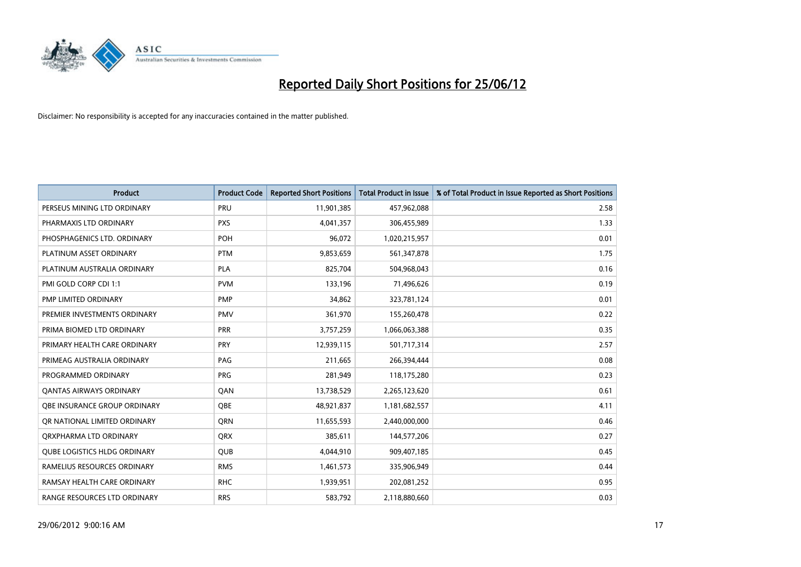

| <b>Product</b>                      | <b>Product Code</b> | <b>Reported Short Positions</b> | <b>Total Product in Issue</b> | % of Total Product in Issue Reported as Short Positions |
|-------------------------------------|---------------------|---------------------------------|-------------------------------|---------------------------------------------------------|
| PERSEUS MINING LTD ORDINARY         | PRU                 | 11,901,385                      | 457,962,088                   | 2.58                                                    |
| PHARMAXIS LTD ORDINARY              | <b>PXS</b>          | 4,041,357                       | 306,455,989                   | 1.33                                                    |
| PHOSPHAGENICS LTD. ORDINARY         | POH                 | 96,072                          | 1,020,215,957                 | 0.01                                                    |
| PLATINUM ASSET ORDINARY             | <b>PTM</b>          | 9,853,659                       | 561,347,878                   | 1.75                                                    |
| PLATINUM AUSTRALIA ORDINARY         | <b>PLA</b>          | 825,704                         | 504,968,043                   | 0.16                                                    |
| PMI GOLD CORP CDI 1:1               | <b>PVM</b>          | 133,196                         | 71,496,626                    | 0.19                                                    |
| PMP LIMITED ORDINARY                | <b>PMP</b>          | 34,862                          | 323,781,124                   | 0.01                                                    |
| PREMIER INVESTMENTS ORDINARY        | <b>PMV</b>          | 361,970                         | 155,260,478                   | 0.22                                                    |
| PRIMA BIOMED LTD ORDINARY           | <b>PRR</b>          | 3,757,259                       | 1,066,063,388                 | 0.35                                                    |
| PRIMARY HEALTH CARE ORDINARY        | <b>PRY</b>          | 12,939,115                      | 501,717,314                   | 2.57                                                    |
| PRIMEAG AUSTRALIA ORDINARY          | PAG                 | 211,665                         | 266,394,444                   | 0.08                                                    |
| PROGRAMMED ORDINARY                 | <b>PRG</b>          | 281,949                         | 118,175,280                   | 0.23                                                    |
| <b>QANTAS AIRWAYS ORDINARY</b>      | QAN                 | 13,738,529                      | 2,265,123,620                 | 0.61                                                    |
| OBE INSURANCE GROUP ORDINARY        | <b>OBE</b>          | 48,921,837                      | 1,181,682,557                 | 4.11                                                    |
| OR NATIONAL LIMITED ORDINARY        | <b>ORN</b>          | 11,655,593                      | 2,440,000,000                 | 0.46                                                    |
| ORXPHARMA LTD ORDINARY              | <b>QRX</b>          | 385,611                         | 144,577,206                   | 0.27                                                    |
| <b>QUBE LOGISTICS HLDG ORDINARY</b> | <b>QUB</b>          | 4,044,910                       | 909,407,185                   | 0.45                                                    |
| RAMELIUS RESOURCES ORDINARY         | <b>RMS</b>          | 1,461,573                       | 335,906,949                   | 0.44                                                    |
| RAMSAY HEALTH CARE ORDINARY         | <b>RHC</b>          | 1,939,951                       | 202,081,252                   | 0.95                                                    |
| RANGE RESOURCES LTD ORDINARY        | <b>RRS</b>          | 583,792                         | 2,118,880,660                 | 0.03                                                    |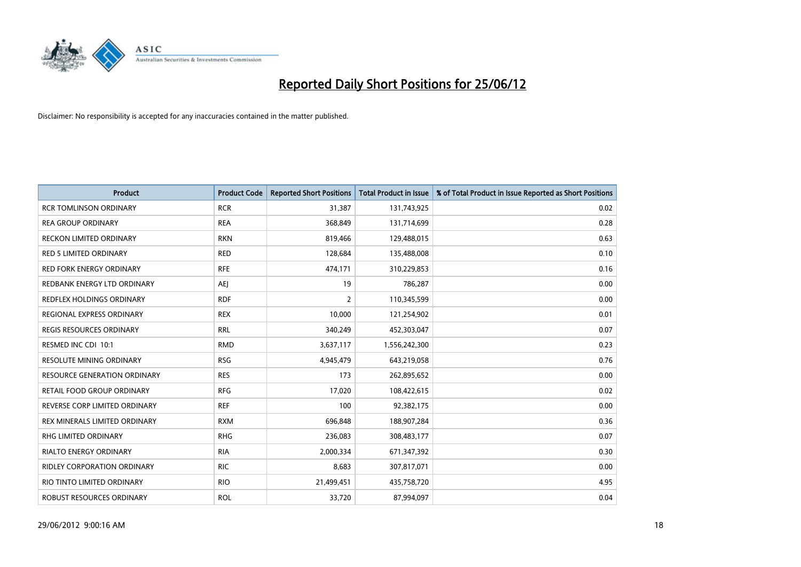

| Product                             | <b>Product Code</b> | <b>Reported Short Positions</b> | <b>Total Product in Issue</b> | % of Total Product in Issue Reported as Short Positions |
|-------------------------------------|---------------------|---------------------------------|-------------------------------|---------------------------------------------------------|
| <b>RCR TOMLINSON ORDINARY</b>       | <b>RCR</b>          | 31,387                          | 131,743,925                   | 0.02                                                    |
| REA GROUP ORDINARY                  | <b>REA</b>          | 368,849                         | 131,714,699                   | 0.28                                                    |
| <b>RECKON LIMITED ORDINARY</b>      | <b>RKN</b>          | 819,466                         | 129,488,015                   | 0.63                                                    |
| <b>RED 5 LIMITED ORDINARY</b>       | <b>RED</b>          | 128,684                         | 135,488,008                   | 0.10                                                    |
| <b>RED FORK ENERGY ORDINARY</b>     | <b>RFE</b>          | 474,171                         | 310,229,853                   | 0.16                                                    |
| REDBANK ENERGY LTD ORDINARY         | <b>AEJ</b>          | 19                              | 786,287                       | 0.00                                                    |
| <b>REDFLEX HOLDINGS ORDINARY</b>    | <b>RDF</b>          | $\overline{2}$                  | 110,345,599                   | 0.00                                                    |
| REGIONAL EXPRESS ORDINARY           | <b>REX</b>          | 10,000                          | 121,254,902                   | 0.01                                                    |
| <b>REGIS RESOURCES ORDINARY</b>     | <b>RRL</b>          | 340,249                         | 452,303,047                   | 0.07                                                    |
| RESMED INC CDI 10:1                 | <b>RMD</b>          | 3,637,117                       | 1,556,242,300                 | 0.23                                                    |
| RESOLUTE MINING ORDINARY            | <b>RSG</b>          | 4,945,479                       | 643,219,058                   | 0.76                                                    |
| <b>RESOURCE GENERATION ORDINARY</b> | <b>RES</b>          | 173                             | 262,895,652                   | 0.00                                                    |
| RETAIL FOOD GROUP ORDINARY          | <b>RFG</b>          | 17,020                          | 108,422,615                   | 0.02                                                    |
| REVERSE CORP LIMITED ORDINARY       | <b>REF</b>          | 100                             | 92,382,175                    | 0.00                                                    |
| REX MINERALS LIMITED ORDINARY       | <b>RXM</b>          | 696,848                         | 188,907,284                   | 0.36                                                    |
| RHG LIMITED ORDINARY                | <b>RHG</b>          | 236,083                         | 308,483,177                   | 0.07                                                    |
| RIALTO ENERGY ORDINARY              | <b>RIA</b>          | 2,000,334                       | 671,347,392                   | 0.30                                                    |
| <b>RIDLEY CORPORATION ORDINARY</b>  | <b>RIC</b>          | 8,683                           | 307,817,071                   | 0.00                                                    |
| RIO TINTO LIMITED ORDINARY          | <b>RIO</b>          | 21,499,451                      | 435,758,720                   | 4.95                                                    |
| ROBUST RESOURCES ORDINARY           | <b>ROL</b>          | 33,720                          | 87,994,097                    | 0.04                                                    |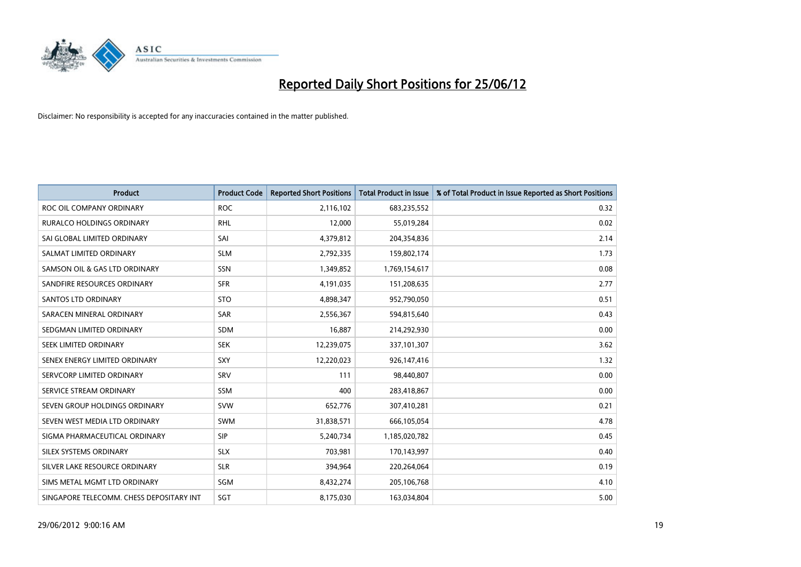

| <b>Product</b>                           | <b>Product Code</b> | <b>Reported Short Positions</b> | <b>Total Product in Issue</b> | % of Total Product in Issue Reported as Short Positions |
|------------------------------------------|---------------------|---------------------------------|-------------------------------|---------------------------------------------------------|
| ROC OIL COMPANY ORDINARY                 | <b>ROC</b>          | 2,116,102                       | 683,235,552                   | 0.32                                                    |
| <b>RURALCO HOLDINGS ORDINARY</b>         | <b>RHL</b>          | 12,000                          | 55,019,284                    | 0.02                                                    |
| SAI GLOBAL LIMITED ORDINARY              | SAI                 | 4,379,812                       | 204,354,836                   | 2.14                                                    |
| SALMAT LIMITED ORDINARY                  | <b>SLM</b>          | 2,792,335                       | 159,802,174                   | 1.73                                                    |
| SAMSON OIL & GAS LTD ORDINARY            | SSN                 | 1,349,852                       | 1,769,154,617                 | 0.08                                                    |
| SANDFIRE RESOURCES ORDINARY              | <b>SFR</b>          | 4,191,035                       | 151,208,635                   | 2.77                                                    |
| SANTOS LTD ORDINARY                      | <b>STO</b>          | 4,898,347                       | 952,790,050                   | 0.51                                                    |
| SARACEN MINERAL ORDINARY                 | <b>SAR</b>          | 2,556,367                       | 594,815,640                   | 0.43                                                    |
| SEDGMAN LIMITED ORDINARY                 | <b>SDM</b>          | 16,887                          | 214,292,930                   | 0.00                                                    |
| SEEK LIMITED ORDINARY                    | <b>SEK</b>          | 12,239,075                      | 337,101,307                   | 3.62                                                    |
| SENEX ENERGY LIMITED ORDINARY            | <b>SXY</b>          | 12,220,023                      | 926,147,416                   | 1.32                                                    |
| SERVCORP LIMITED ORDINARY                | SRV                 | 111                             | 98,440,807                    | 0.00                                                    |
| SERVICE STREAM ORDINARY                  | <b>SSM</b>          | 400                             | 283,418,867                   | 0.00                                                    |
| SEVEN GROUP HOLDINGS ORDINARY            | <b>SVW</b>          | 652,776                         | 307,410,281                   | 0.21                                                    |
| SEVEN WEST MEDIA LTD ORDINARY            | <b>SWM</b>          | 31,838,571                      | 666,105,054                   | 4.78                                                    |
| SIGMA PHARMACEUTICAL ORDINARY            | <b>SIP</b>          | 5,240,734                       | 1,185,020,782                 | 0.45                                                    |
| SILEX SYSTEMS ORDINARY                   | <b>SLX</b>          | 703,981                         | 170,143,997                   | 0.40                                                    |
| SILVER LAKE RESOURCE ORDINARY            | <b>SLR</b>          | 394,964                         | 220,264,064                   | 0.19                                                    |
| SIMS METAL MGMT LTD ORDINARY             | SGM                 | 8,432,274                       | 205,106,768                   | 4.10                                                    |
| SINGAPORE TELECOMM. CHESS DEPOSITARY INT | SGT                 | 8,175,030                       | 163,034,804                   | 5.00                                                    |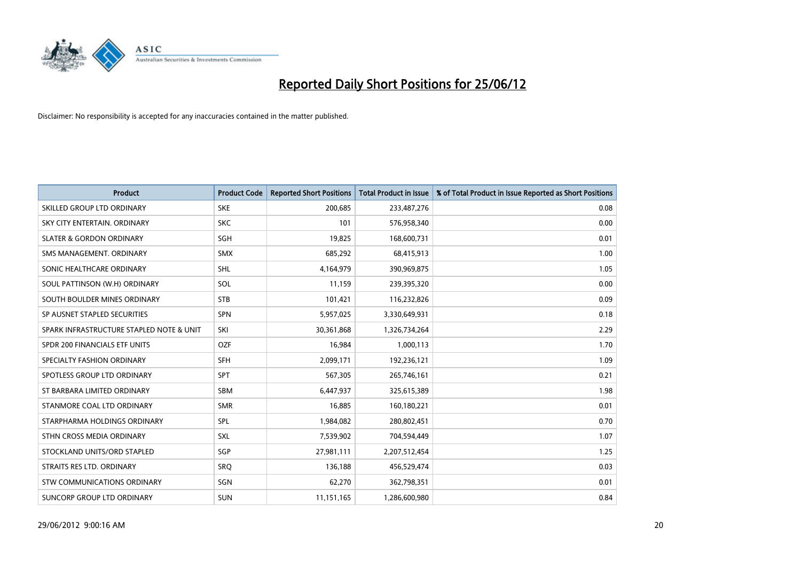

| <b>Product</b>                           | <b>Product Code</b> | <b>Reported Short Positions</b> | <b>Total Product in Issue</b> | % of Total Product in Issue Reported as Short Positions |
|------------------------------------------|---------------------|---------------------------------|-------------------------------|---------------------------------------------------------|
| SKILLED GROUP LTD ORDINARY               | <b>SKE</b>          | 200,685                         | 233,487,276                   | 0.08                                                    |
| SKY CITY ENTERTAIN, ORDINARY             | <b>SKC</b>          | 101                             | 576,958,340                   | 0.00                                                    |
| <b>SLATER &amp; GORDON ORDINARY</b>      | SGH                 | 19,825                          | 168,600,731                   | 0.01                                                    |
| SMS MANAGEMENT. ORDINARY                 | <b>SMX</b>          | 685,292                         | 68,415,913                    | 1.00                                                    |
| SONIC HEALTHCARE ORDINARY                | SHL                 | 4,164,979                       | 390,969,875                   | 1.05                                                    |
| SOUL PATTINSON (W.H) ORDINARY            | SOL                 | 11,159                          | 239,395,320                   | 0.00                                                    |
| SOUTH BOULDER MINES ORDINARY             | <b>STB</b>          | 101,421                         | 116,232,826                   | 0.09                                                    |
| SP AUSNET STAPLED SECURITIES             | <b>SPN</b>          | 5,957,025                       | 3,330,649,931                 | 0.18                                                    |
| SPARK INFRASTRUCTURE STAPLED NOTE & UNIT | SKI                 | 30,361,868                      | 1,326,734,264                 | 2.29                                                    |
| SPDR 200 FINANCIALS ETF UNITS            | <b>OZF</b>          | 16,984                          | 1,000,113                     | 1.70                                                    |
| SPECIALTY FASHION ORDINARY               | <b>SFH</b>          | 2,099,171                       | 192,236,121                   | 1.09                                                    |
| SPOTLESS GROUP LTD ORDINARY              | <b>SPT</b>          | 567,305                         | 265,746,161                   | 0.21                                                    |
| ST BARBARA LIMITED ORDINARY              | <b>SBM</b>          | 6,447,937                       | 325,615,389                   | 1.98                                                    |
| STANMORE COAL LTD ORDINARY               | <b>SMR</b>          | 16,885                          | 160,180,221                   | 0.01                                                    |
| STARPHARMA HOLDINGS ORDINARY             | <b>SPL</b>          | 1,984,082                       | 280,802,451                   | 0.70                                                    |
| STHN CROSS MEDIA ORDINARY                | <b>SXL</b>          | 7,539,902                       | 704,594,449                   | 1.07                                                    |
| STOCKLAND UNITS/ORD STAPLED              | SGP                 | 27,981,111                      | 2,207,512,454                 | 1.25                                                    |
| STRAITS RES LTD. ORDINARY                | SRO                 | 136,188                         | 456,529,474                   | 0.03                                                    |
| STW COMMUNICATIONS ORDINARY              | SGN                 | 62,270                          | 362,798,351                   | 0.01                                                    |
| SUNCORP GROUP LTD ORDINARY               | <b>SUN</b>          | 11,151,165                      | 1,286,600,980                 | 0.84                                                    |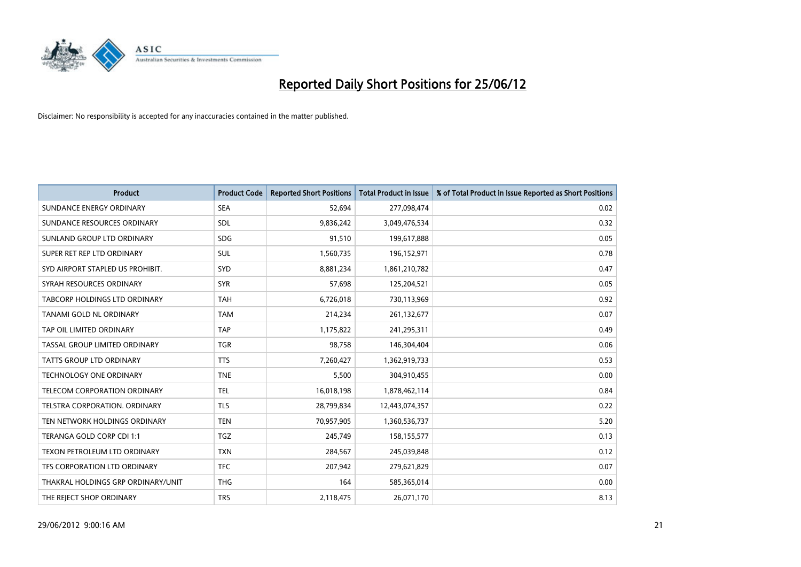

| <b>Product</b>                     | <b>Product Code</b> | <b>Reported Short Positions</b> | <b>Total Product in Issue</b> | % of Total Product in Issue Reported as Short Positions |
|------------------------------------|---------------------|---------------------------------|-------------------------------|---------------------------------------------------------|
| SUNDANCE ENERGY ORDINARY           | <b>SEA</b>          | 52,694                          | 277,098,474                   | 0.02                                                    |
| SUNDANCE RESOURCES ORDINARY        | <b>SDL</b>          | 9,836,242                       | 3,049,476,534                 | 0.32                                                    |
| SUNLAND GROUP LTD ORDINARY         | <b>SDG</b>          | 91,510                          | 199,617,888                   | 0.05                                                    |
| SUPER RET REP LTD ORDINARY         | <b>SUL</b>          | 1,560,735                       | 196,152,971                   | 0.78                                                    |
| SYD AIRPORT STAPLED US PROHIBIT.   | <b>SYD</b>          | 8,881,234                       | 1,861,210,782                 | 0.47                                                    |
| SYRAH RESOURCES ORDINARY           | <b>SYR</b>          | 57,698                          | 125,204,521                   | 0.05                                                    |
| TABCORP HOLDINGS LTD ORDINARY      | <b>TAH</b>          | 6,726,018                       | 730,113,969                   | 0.92                                                    |
| TANAMI GOLD NL ORDINARY            | <b>TAM</b>          | 214,234                         | 261,132,677                   | 0.07                                                    |
| TAP OIL LIMITED ORDINARY           | <b>TAP</b>          | 1,175,822                       | 241,295,311                   | 0.49                                                    |
| TASSAL GROUP LIMITED ORDINARY      | <b>TGR</b>          | 98,758                          | 146,304,404                   | 0.06                                                    |
| TATTS GROUP LTD ORDINARY           | <b>TTS</b>          | 7,260,427                       | 1,362,919,733                 | 0.53                                                    |
| <b>TECHNOLOGY ONE ORDINARY</b>     | <b>TNE</b>          | 5,500                           | 304,910,455                   | 0.00                                                    |
| TELECOM CORPORATION ORDINARY       | <b>TEL</b>          | 16,018,198                      | 1,878,462,114                 | 0.84                                                    |
| TELSTRA CORPORATION, ORDINARY      | <b>TLS</b>          | 28,799,834                      | 12,443,074,357                | 0.22                                                    |
| TEN NETWORK HOLDINGS ORDINARY      | <b>TEN</b>          | 70,957,905                      | 1,360,536,737                 | 5.20                                                    |
| TERANGA GOLD CORP CDI 1:1          | TGZ                 | 245,749                         | 158,155,577                   | 0.13                                                    |
| TEXON PETROLEUM LTD ORDINARY       | <b>TXN</b>          | 284,567                         | 245,039,848                   | 0.12                                                    |
| TFS CORPORATION LTD ORDINARY       | <b>TFC</b>          | 207,942                         | 279,621,829                   | 0.07                                                    |
| THAKRAL HOLDINGS GRP ORDINARY/UNIT | <b>THG</b>          | 164                             | 585,365,014                   | 0.00                                                    |
| THE REJECT SHOP ORDINARY           | <b>TRS</b>          | 2,118,475                       | 26,071,170                    | 8.13                                                    |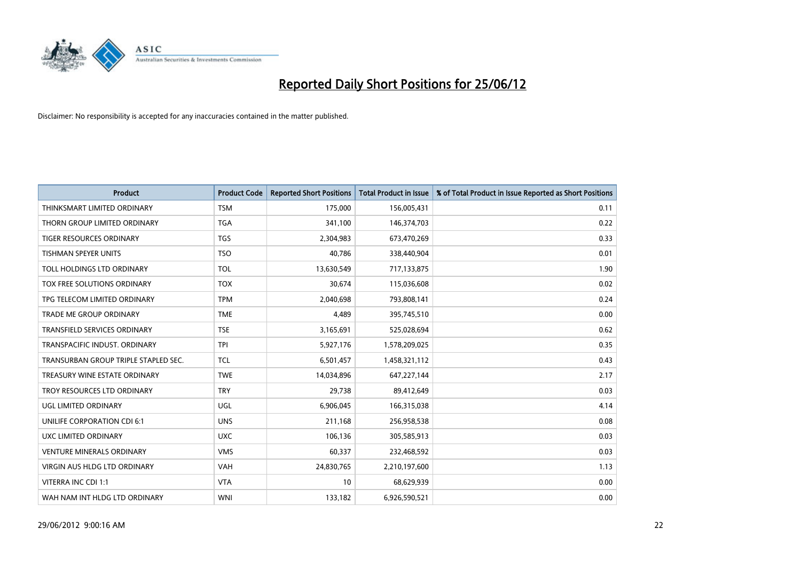

| <b>Product</b>                       | <b>Product Code</b> | <b>Reported Short Positions</b> | <b>Total Product in Issue</b> | % of Total Product in Issue Reported as Short Positions |
|--------------------------------------|---------------------|---------------------------------|-------------------------------|---------------------------------------------------------|
| THINKSMART LIMITED ORDINARY          | <b>TSM</b>          | 175,000                         | 156,005,431                   | 0.11                                                    |
| THORN GROUP LIMITED ORDINARY         | TGA                 | 341,100                         | 146,374,703                   | 0.22                                                    |
| TIGER RESOURCES ORDINARY             | TGS                 | 2,304,983                       | 673,470,269                   | 0.33                                                    |
| <b>TISHMAN SPEYER UNITS</b>          | <b>TSO</b>          | 40,786                          | 338,440,904                   | 0.01                                                    |
| TOLL HOLDINGS LTD ORDINARY           | <b>TOL</b>          | 13,630,549                      | 717,133,875                   | 1.90                                                    |
| TOX FREE SOLUTIONS ORDINARY          | <b>TOX</b>          | 30,674                          | 115,036,608                   | 0.02                                                    |
| TPG TELECOM LIMITED ORDINARY         | <b>TPM</b>          | 2,040,698                       | 793,808,141                   | 0.24                                                    |
| TRADE ME GROUP ORDINARY              | <b>TME</b>          | 4,489                           | 395,745,510                   | 0.00                                                    |
| <b>TRANSFIELD SERVICES ORDINARY</b>  | <b>TSE</b>          | 3,165,691                       | 525,028,694                   | 0.62                                                    |
| TRANSPACIFIC INDUST, ORDINARY        | <b>TPI</b>          | 5,927,176                       | 1,578,209,025                 | 0.35                                                    |
| TRANSURBAN GROUP TRIPLE STAPLED SEC. | <b>TCL</b>          | 6,501,457                       | 1,458,321,112                 | 0.43                                                    |
| TREASURY WINE ESTATE ORDINARY        | <b>TWE</b>          | 14,034,896                      | 647,227,144                   | 2.17                                                    |
| TROY RESOURCES LTD ORDINARY          | <b>TRY</b>          | 29,738                          | 89,412,649                    | 0.03                                                    |
| <b>UGL LIMITED ORDINARY</b>          | UGL                 | 6,906,045                       | 166,315,038                   | 4.14                                                    |
| UNILIFE CORPORATION CDI 6:1          | <b>UNS</b>          | 211,168                         | 256,958,538                   | 0.08                                                    |
| UXC LIMITED ORDINARY                 | <b>UXC</b>          | 106,136                         | 305,585,913                   | 0.03                                                    |
| <b>VENTURE MINERALS ORDINARY</b>     | <b>VMS</b>          | 60,337                          | 232,468,592                   | 0.03                                                    |
| <b>VIRGIN AUS HLDG LTD ORDINARY</b>  | <b>VAH</b>          | 24,830,765                      | 2,210,197,600                 | 1.13                                                    |
| VITERRA INC CDI 1:1                  | <b>VTA</b>          | 10                              | 68,629,939                    | 0.00                                                    |
| WAH NAM INT HLDG LTD ORDINARY        | <b>WNI</b>          | 133,182                         | 6,926,590,521                 | 0.00                                                    |